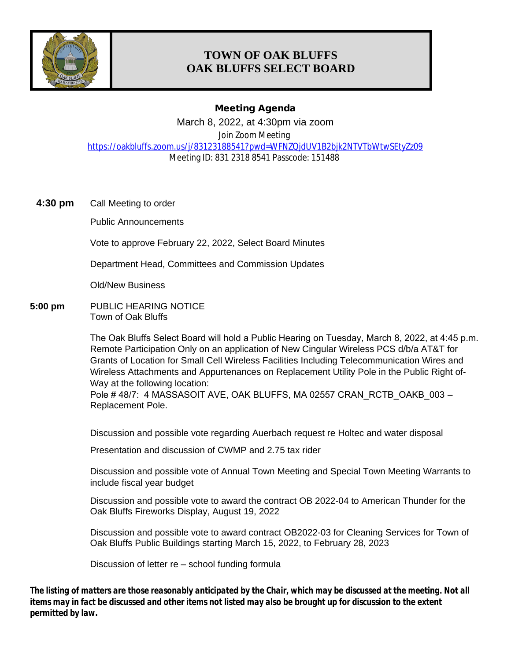

# **TOWN OF OAK BLUFFS OAK BLUFFS SELECT BOARD**

## **Meeting Agenda**

March 8, 2022, at 4:30pm via zoom

Join Zoom Meeting

<https://oakbluffs.zoom.us/j/83123188541?pwd=WFNZQjdUV1B2bjk2NTVTbWtwSEtyZz09> Meeting ID: 831 2318 8541 Passcode: 151488

**4:30 pm** Call Meeting to order

Public Announcements

Vote to approve February 22, 2022, Select Board Minutes

Department Head, Committees and Commission Updates

Old/New Business

**5:00 pm** PUBLIC HEARING NOTICE Town of Oak Bluffs

> The Oak Bluffs Select Board will hold a Public Hearing on Tuesday, March 8, 2022, at 4:45 p.m. Remote Participation Only on an application of New Cingular Wireless PCS d/b/a AT&T for Grants of Location for Small Cell Wireless Facilities Including Telecommunication Wires and Wireless Attachments and Appurtenances on Replacement Utility Pole in the Public Right of-Way at the following location:

Pole #48/7: 4 MASSASOIT AVE, OAK BLUFFS, MA 02557 CRAN\_RCTB\_OAKB\_003 – Replacement Pole.

Discussion and possible vote regarding Auerbach request re Holtec and water disposal

Presentation and discussion of CWMP and 2.75 tax rider

Discussion and possible vote of Annual Town Meeting and Special Town Meeting Warrants to include fiscal year budget

Discussion and possible vote to award the contract OB 2022-04 to American Thunder for the Oak Bluffs Fireworks Display, August 19, 2022

Discussion and possible vote to award contract OB2022-03 for Cleaning Services for Town of Oak Bluffs Public Buildings starting March 15, 2022, to February 28, 2023

Discussion of letter re – school funding formula

*The listing of matters are those reasonably anticipated by the Chair, which may be discussed at the meeting. Not all items may in fact be discussed and other items not listed may also be brought up for discussion to the extent permitted by law.*